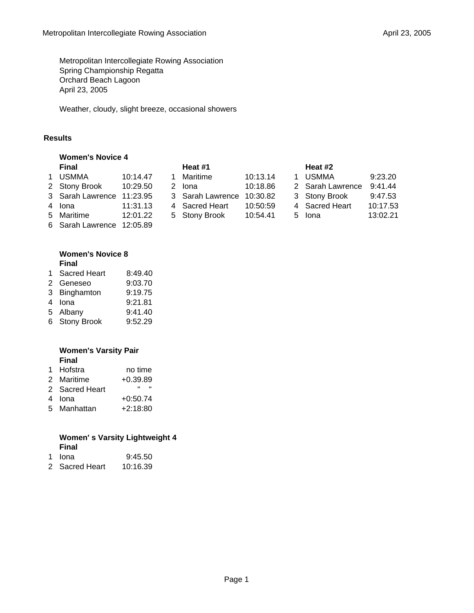Metropolitan Intercollegiate Rowing Association Spring Championship Regatta Orchard Beach Lagoon April 23, 2005

Weather, cloudy, slight breeze, occasional showers

# **Results**

|   | <b>Women's Novice 4</b> |          |  |                  |          |  |                  |          |
|---|-------------------------|----------|--|------------------|----------|--|------------------|----------|
|   | <b>Final</b>            |          |  | Heat #1          |          |  | Heat #2          |          |
| 1 | <b>USMMA</b>            | 10:14.47 |  | Maritime         | 10:13.14 |  | <b>USMMA</b>     | 9:23.20  |
|   | 2 Stony Brook           | 10:29.50 |  | 2 Iona           | 10:18.86 |  | 2 Sarah Lawrence | 9:41.44  |
|   | 3 Sarah Lawrence        | 11:23.95 |  | 3 Sarah Lawrence | 10:30.82 |  | 3 Stony Brook    | 9:47.53  |
|   | 4 Iona                  | 11:31.13 |  | 4 Sacred Heart   | 10:50:59 |  | 4 Sacred Heart   | 10:17.53 |
|   | 5 Maritime              | 12:01.22 |  | 5 Stony Brook    | 10:54.41 |  | 5 Iona           | 13:02.21 |
|   | 6 Sarah Lawrence        | 12:05.89 |  |                  |          |  |                  |          |

### **Women's Novice 8 Final**

| 1 Sacred Heart | 8:49.40 |
|----------------|---------|
| 2 Geneseo      | 9:03.70 |
| 3 Binghamton   | 9:19.75 |
| 4 Iona         | 9:21.81 |
| 5 Albany       | 9:41.40 |

6 Stony Brook 9:52.29

# **Women's Varsity Pair Final**

| 1 | Hofstra | no time |
|---|---------|---------|
|   |         |         |

- 2 Maritime +0.39.89
- 2 Sacred Heart " "
- 4 Iona +0:50.74
- 5 Manhattan +2:18:80

#### **Women' s Varsity Lightweight 4 Final**  $0.45.50$

| n iona         | 9.45.50  |
|----------------|----------|
| 2 Sacred Heart | 10:16.39 |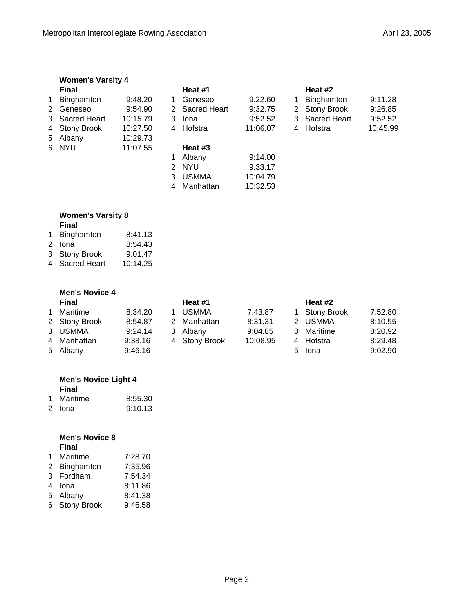|              | <b>Women's Varsity 4</b> |          |   |              |          |                      |                     |          |
|--------------|--------------------------|----------|---|--------------|----------|----------------------|---------------------|----------|
|              | <b>Final</b>             |          |   | Heat #1      |          |                      | Heat #2             |          |
| $\mathbf{1}$ | Binghamton               | 9:48.20  | 1 | Geneseo      | 9.22.60  | 1                    | Binghamton          | 9:11.28  |
|              | 2 Geneseo                | 9:54.90  | 2 | Sacred Heart | 9:32.75  | $\mathbf{2}^{\circ}$ | <b>Stony Brook</b>  | 9:26.85  |
|              | 3 Sacred Heart           | 10:15.79 | 3 | Iona         | 9:52.52  | 3                    | <b>Sacred Heart</b> | 9:52.52  |
|              | 4 Stony Brook            | 10:27.50 | 4 | Hofstra      | 11:06.07 | 4                    | Hofstra             | 10:45.99 |
|              | 5 Albany                 | 10:29.73 |   |              |          |                      |                     |          |
|              | 6 NYU                    | 11:07.55 |   | Heat #3      |          |                      |                     |          |
|              |                          |          | 1 | Albany       | 9:14.00  |                      |                     |          |
|              |                          |          | 2 | <b>NYU</b>   | 9:33.17  |                      |                     |          |
|              |                          |          | 3 | <b>USMMA</b> | 10:04.79 |                      |                     |          |
|              |                          |          | 4 | Manhattan    | 10:32.53 |                      |                     |          |

## **Women's Varsity 8 Final**

- 1 Binghamton 8:41.13
- 2 Iona 8:54.43 3 Stony Brook 9:01.47
- 4 Sacred Heart 10:14.25

|   | <b>Men's Novice 4</b> |         |   |               |          |   |                    |         |
|---|-----------------------|---------|---|---------------|----------|---|--------------------|---------|
|   | Final                 |         |   | Heat #1       |          |   | Heat #2            |         |
| 1 | Maritime              | 8:34.20 |   | <b>USMMA</b>  | 7:43.87  |   | <b>Stony Brook</b> | 7:52.80 |
|   | 2 Stony Brook         | 8:54.87 | 2 | Manhattan     | 8:31.31  |   | 2 USMMA            | 8:10.55 |
|   | 3 USMMA               | 9:24.14 |   | 3 Albany      | 9:04.85  | 3 | Maritime           | 8:20.92 |
|   | 4 Manhattan           | 9:38.16 |   | 4 Stony Brook | 10:08.95 | 4 | Hofstra            | 8:29.48 |
|   | 5 Albany              | 9:46.16 |   |               |          |   | 5 Iona             | 9:02.90 |

# **Men's Novice Light 4 Final**

| Maritime | 8:55.30 |
|----------|---------|
|          |         |

2 Iona 9:10.13

# **Men's Novice 8 Final**

| $1 \quad$ | Maritime      | 7:28.70 |
|-----------|---------------|---------|
|           | 2 Binghamton  | 7:35.96 |
|           | 3 Fordham     | 7:54.34 |
|           | 4 Iona        | 8:11.86 |
|           | 5 Albany      | 8:41.38 |
|           | 6 Stony Brook | 9:46.58 |
|           |               |         |